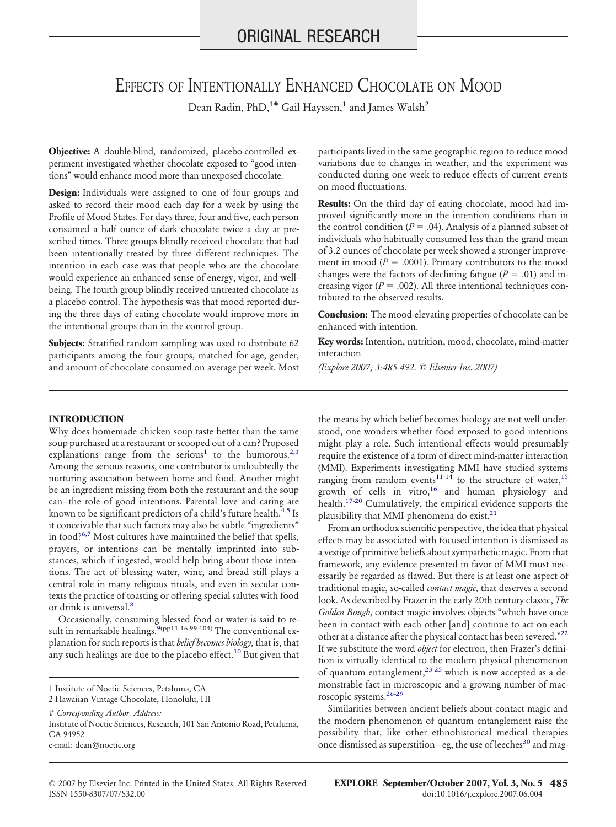# EFFECTS OF INTENTIONALLY ENHANCED CHOCOLATE ON MOOD

Dean Radin, PhD, $1#$  Gail Hayssen,<sup>1</sup> and James Walsh<sup>2</sup>

**Objective:** A double-blind, randomized, placebo-controlled experiment investigated whether chocolate exposed to "good intentions" would enhance mood more than unexposed chocolate.

**Design:** Individuals were assigned to one of four groups and asked to record their mood each day for a week by using the Profile of Mood States. For days three, four and five, each person consumed a half ounce of dark chocolate twice a day at prescribed times. Three groups blindly received chocolate that had been intentionally treated by three different techniques. The intention in each case was that people who ate the chocolate would experience an enhanced sense of energy, vigor, and wellbeing. The fourth group blindly received untreated chocolate as a placebo control. The hypothesis was that mood reported during the three days of eating chocolate would improve more in the intentional groups than in the control group.

**Subjects:** Stratified random sampling was used to distribute 62 participants among the four groups, matched for age, gender, and amount of chocolate consumed on average per week. Most participants lived in the same geographic region to reduce mood variations due to changes in weather, and the experiment was conducted during one week to reduce effects of current events on mood fluctuations.

**Results:** On the third day of eating chocolate, mood had improved significantly more in the intention conditions than in the control condition ( $P = .04$ ). Analysis of a planned subset of individuals who habitually consumed less than the grand mean of 3.2 ounces of chocolate per week showed a stronger improvement in mood ( $P = .0001$ ). Primary contributors to the mood changes were the factors of declining fatigue ( $P = .01$ ) and increasing vigor ( $P = .002$ ). All three intentional techniques contributed to the observed results.

**Conclusion:** The mood-elevating properties of chocolate can be enhanced with intention.

**Key words:** Intention, nutrition, mood, chocolate, mind-matter interaction

*(Explore 2007; 3:485-492. © Elsevier Inc. 2007)*

# **INTRODUCTION**

Why does homemade chicken soup taste better than the same soup purchased at a restaurant or scooped out of a can? Proposed explanations range from the serious<sup>1</sup> to the humorous.<sup>2,3</sup> Among the serious reasons, one contributor is undoubtedly the nurturing association between home and food. Another might be an ingredient missing from both the restaurant and the soup can—the role of good intentions. Parental love and caring are known to be significant predictors of a child's future health.<sup>4,5</sup> Is it conceivable that such factors may also be subtle "ingredients" in food?<sup>6,7</sup> Most cultures have maintained the belief that spells, prayers, or intentions can be mentally imprinted into substances, which if ingested, would help bring about those intentions. The act of blessing water, wine, and bread still plays a central role in many religious rituals, and even in secular contexts the practice of toasting or offering special salutes with food or drink is universal[.8](#page-6-0)

Occasionally, consuming blessed food or water is said to result in remarkable healings.<sup>9(pp11-16,99-104)</sup> The conventional explanation for such reports is that *belief becomes biology,* that is, that any such healings are due to the placebo effect.<sup>10</sup> But given that

1 Institute of Noetic Sciences, Petaluma, CA

# *Corresponding Author. Address:*

Institute of Noetic Sciences, Research, 101 San Antonio Road, Petaluma, CA 94952

e-mail: dean@noetic.org

the means by which belief becomes biology are not well understood, one wonders whether food exposed to good intentions might play a role. Such intentional effects would presumably require the existence of a form of direct mind-matter interaction (MMI). Experiments investigating MMI have studied systems ranging from random events<sup>[11-14](#page-6-0)</sup> to the structure of water,<sup>[15](#page-6-0)</sup> growth of cells in vitro,<sup>[16](#page-6-0)</sup> and human physiology and health[.17-20](#page-6-0) Cumulatively, the empirical evidence supports the plausibility that MMI phenomena do exist.<sup>[21](#page-6-0)</sup>

From an orthodox scientific perspective, the idea that physical effects may be associated with focused intention is dismissed as a vestige of primitive beliefs about sympathetic magic. From that framework, any evidence presented in favor of MMI must necessarily be regarded as flawed. But there is at least one aspect of traditional magic, so-called *contact magic,* that deserves a second look. As described by Frazer in the early 20th century classic, *The Golden Bough*, contact magic involves objects "which have once been in contact with each other [and] continue to act on each other at a distance after the physical contact has been severed."<sup>[22](#page-6-0)</sup> If we substitute the word *object* for electron, then Frazer's definition is virtually identical to the modern physical phenomenon of quantum entanglement,[23-25](#page-6-0) which is now accepted as a demonstrable fact in microscopic and a growing number of macroscopic systems[.26-29](#page-6-0)

Similarities between ancient beliefs about contact magic and the modern phenomenon of quantum entanglement raise the possibility that, like other ethnohistorical medical therapies once dismissed as superstition–eg, the use of leeches<sup>[30](#page-6-0)</sup> and mag-

<sup>2</sup> Hawaiian Vintage Chocolate, Honolulu, HI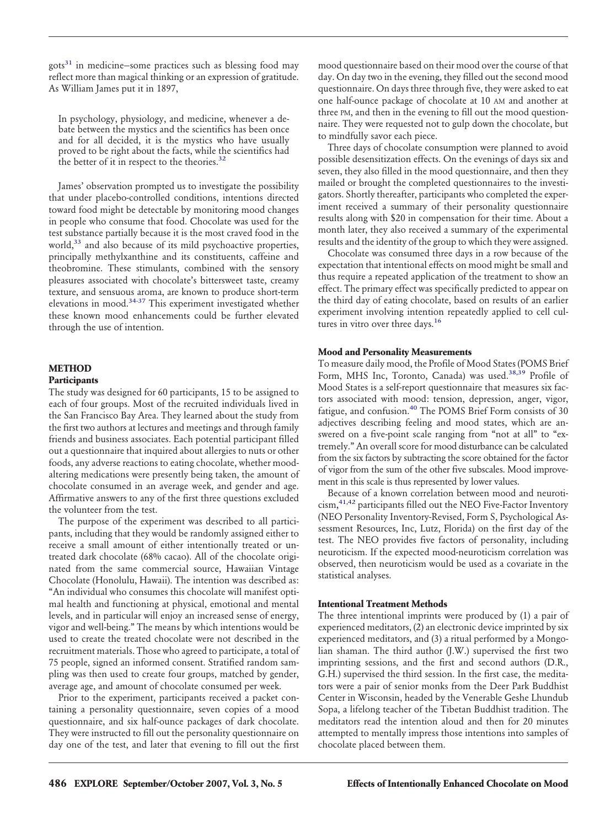$gots<sup>31</sup>$  in medicine–some practices such as blessing food may reflect more than magical thinking or an expression of gratitude. As William James put it in 1897,

In psychology, physiology, and medicine, whenever a debate between the mystics and the scientifics has been once and for all decided, it is the mystics who have usually proved to be right about the facts, while the scientifics had the better of it in respect to the theories.<sup>32</sup>

James' observation prompted us to investigate the possibility that under placebo-controlled conditions, intentions directed toward food might be detectable by monitoring mood changes in people who consume that food. Chocolate was used for the test substance partially because it is the most craved food in the world,<sup>33</sup> and also because of its mild psychoactive properties, principally methylxanthine and its constituents, caffeine and theobromine. These stimulants, combined with the sensory pleasures associated with chocolate's bittersweet taste, creamy texture, and sensuous aroma, are known to produce short-term elevations in mood[.34-37](#page-6-0) This experiment investigated whether these known mood enhancements could be further elevated through the use of intention.

# **METHOD**

## **Participants**

The study was designed for 60 participants, 15 to be assigned to each of four groups. Most of the recruited individuals lived in the San Francisco Bay Area. They learned about the study from the first two authors at lectures and meetings and through family friends and business associates. Each potential participant filled out a questionnaire that inquired about allergies to nuts or other foods, any adverse reactions to eating chocolate, whether moodaltering medications were presently being taken, the amount of chocolate consumed in an average week, and gender and age. Affirmative answers to any of the first three questions excluded the volunteer from the test.

The purpose of the experiment was described to all participants, including that they would be randomly assigned either to receive a small amount of either intentionally treated or untreated dark chocolate (68% cacao). All of the chocolate originated from the same commercial source, Hawaiian Vintage Chocolate (Honolulu, Hawaii). The intention was described as: "An individual who consumes this chocolate will manifest optimal health and functioning at physical, emotional and mental levels, and in particular will enjoy an increased sense of energy, vigor and well-being." The means by which intentions would be used to create the treated chocolate were not described in the recruitment materials. Those who agreed to participate, a total of 75 people, signed an informed consent. Stratified random sampling was then used to create four groups, matched by gender, average age, and amount of chocolate consumed per week.

Prior to the experiment, participants received a packet containing a personality questionnaire, seven copies of a mood questionnaire, and six half-ounce packages of dark chocolate. They were instructed to fill out the personality questionnaire on day one of the test, and later that evening to fill out the first

mood questionnaire based on their mood over the course of that day. On day two in the evening, they filled out the second mood questionnaire. On days three through five, they were asked to eat one half-ounce package of chocolate at 10 AM and another at three PM, and then in the evening to fill out the mood questionnaire. They were requested not to gulp down the chocolate, but to mindfully savor each piece.

Three days of chocolate consumption were planned to avoid possible desensitization effects. On the evenings of days six and seven, they also filled in the mood questionnaire, and then they mailed or brought the completed questionnaires to the investigators. Shortly thereafter, participants who completed the experiment received a summary of their personality questionnaire results along with \$20 in compensation for their time. About a month later, they also received a summary of the experimental results and the identity of the group to which they were assigned.

Chocolate was consumed three days in a row because of the expectation that intentional effects on mood might be small and thus require a repeated application of the treatment to show an effect. The primary effect was specifically predicted to appear on the third day of eating chocolate, based on results of an earlier experiment involving intention repeatedly applied to cell cultures in vitro over three days.<sup>16</sup>

#### **Mood and Personality Measurements**

To measure daily mood, the Profile of Mood States (POMS Brief Form, MHS Inc, Toronto, Canada) was used.<sup>38,39</sup> Profile of Mood States is a self-report questionnaire that measures six factors associated with mood: tension, depression, anger, vigor, fatigue, and confusion.<sup>40</sup> The POMS Brief Form consists of 30 adjectives describing feeling and mood states, which are answered on a five-point scale ranging from "not at all" to "extremely." An overall score for mood disturbance can be calculated from the six factors by subtracting the score obtained for the factor of vigor from the sum of the other five subscales. Mood improvement in this scale is thus represented by lower values.

Because of a known correlation between mood and neuroticism, [41,42](#page-6-0) participants filled out the NEO Five-Factor Inventory (NEO Personality Inventory-Revised, Form S, Psychological Assessment Resources, Inc, Lutz, Florida) on the first day of the test. The NEO provides five factors of personality, including neuroticism. If the expected mood-neuroticism correlation was observed, then neuroticism would be used as a covariate in the statistical analyses.

#### **Intentional Treatment Methods**

The three intentional imprints were produced by (1) a pair of experienced meditators, (2) an electronic device imprinted by six experienced meditators, and (3) a ritual performed by a Mongolian shaman. The third author (J.W.) supervised the first two imprinting sessions, and the first and second authors (D.R., G.H.) supervised the third session. In the first case, the meditators were a pair of senior monks from the Deer Park Buddhist Center in Wisconsin, headed by the Venerable Geshe Lhundub Sopa, a lifelong teacher of the Tibetan Buddhist tradition. The meditators read the intention aloud and then for 20 minutes attempted to mentally impress those intentions into samples of chocolate placed between them.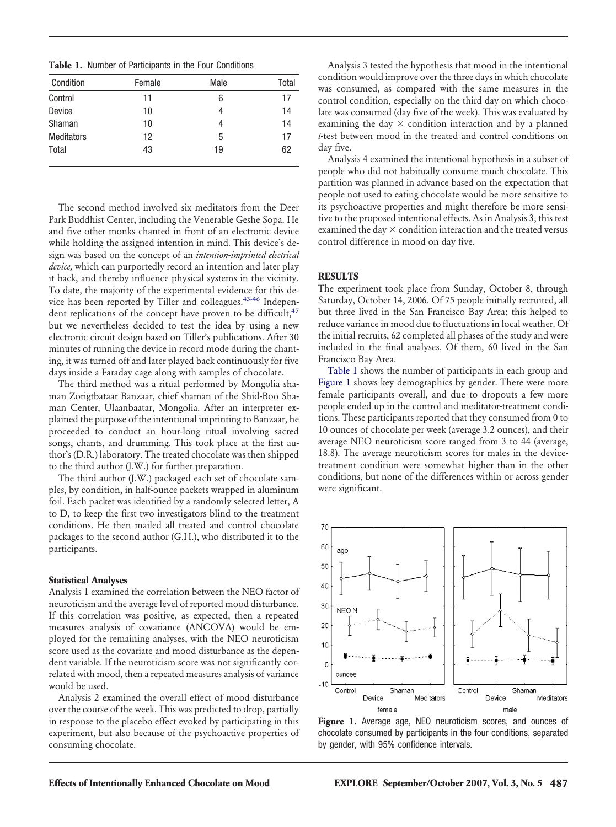**Table 1.** Number of Participants in the Four Conditions

| Condition         | Female | Male | Total |
|-------------------|--------|------|-------|
| Control           | 11     | 6    | 17    |
| Device            | 10     | 4    | 14    |
| Shaman            | 10     | 4    | 14    |
| <b>Meditators</b> | 12     | 5    | 17    |
| Total             | 43     | 19   | 62    |
|                   |        |      |       |

The second method involved six meditators from the Deer Park Buddhist Center, including the Venerable Geshe Sopa. He and five other monks chanted in front of an electronic device while holding the assigned intention in mind. This device's design was based on the concept of an *intention-imprinted electrical device,* which can purportedly record an intention and later play it back, and thereby influence physical systems in the vicinity. To date, the majority of the experimental evidence for this device has been reported by Tiller and colleagues.<sup>43-46</sup> Independent replications of the concept have proven to be difficult,<sup>47</sup> but we nevertheless decided to test the idea by using a new electronic circuit design based on Tiller's publications. After 30 minutes of running the device in record mode during the chanting, it was turned off and later played back continuously for five days inside a Faraday cage along with samples of chocolate.

The third method was a ritual performed by Mongolia shaman Zorigtbataar Banzaar, chief shaman of the Shid-Boo Shaman Center, Ulaanbaatar, Mongolia. After an interpreter explained the purpose of the intentional imprinting to Banzaar, he proceeded to conduct an hour-long ritual involving sacred songs, chants, and drumming. This took place at the first author's (D.R.) laboratory. The treated chocolate was then shipped to the third author (J.W.) for further preparation.

The third author (J.W.) packaged each set of chocolate samples, by condition, in half-ounce packets wrapped in aluminum foil. Each packet was identified by a randomly selected letter, A to D, to keep the first two investigators blind to the treatment conditions. He then mailed all treated and control chocolate packages to the second author (G.H.), who distributed it to the participants.

#### **Statistical Analyses**

Analysis 1 examined the correlation between the NEO factor of neuroticism and the average level of reported mood disturbance. If this correlation was positive, as expected, then a repeated measures analysis of covariance (ANCOVA) would be employed for the remaining analyses, with the NEO neuroticism score used as the covariate and mood disturbance as the dependent variable. If the neuroticism score was not significantly correlated with mood, then a repeated measures analysis of variance would be used.

Analysis 2 examined the overall effect of mood disturbance over the course of the week. This was predicted to drop, partially in response to the placebo effect evoked by participating in this experiment, but also because of the psychoactive properties of consuming chocolate.

Analysis 3 tested the hypothesis that mood in the intentional condition would improve over the three days in which chocolate was consumed, as compared with the same measures in the control condition, especially on the third day on which chocolate was consumed (day five of the week). This was evaluated by examining the day  $\times$  condition interaction and by a planned *t*-test between mood in the treated and control conditions on day five.

Analysis 4 examined the intentional hypothesis in a subset of people who did not habitually consume much chocolate. This partition was planned in advance based on the expectation that people not used to eating chocolate would be more sensitive to its psychoactive properties and might therefore be more sensitive to the proposed intentional effects. As in Analysis 3, this test examined the day  $\times$  condition interaction and the treated versus control difference in mood on day five.

# **RESULTS**

The experiment took place from Sunday, October 8, through Saturday, October 14, 2006. Of 75 people initially recruited, all but three lived in the San Francisco Bay Area; this helped to reduce variance in mood due to fluctuations in local weather. Of the initial recruits, 62 completed all phases of the study and were included in the final analyses. Of them, 60 lived in the San Francisco Bay Area.

Table 1 shows the number of participants in each group and Figure 1 shows key demographics by gender. There were more female participants overall, and due to dropouts a few more people ended up in the control and meditator-treatment conditions. These participants reported that they consumed from 0 to 10 ounces of chocolate per week (average 3.2 ounces), and their average NEO neuroticism score ranged from 3 to 44 (average, 18.8). The average neuroticism scores for males in the devicetreatment condition were somewhat higher than in the other conditions, but none of the differences within or across gender were significant.



**Figure 1.** Average age, NEO neuroticism scores, and ounces of chocolate consumed by participants in the four conditions, separated by gender, with 95% confidence intervals.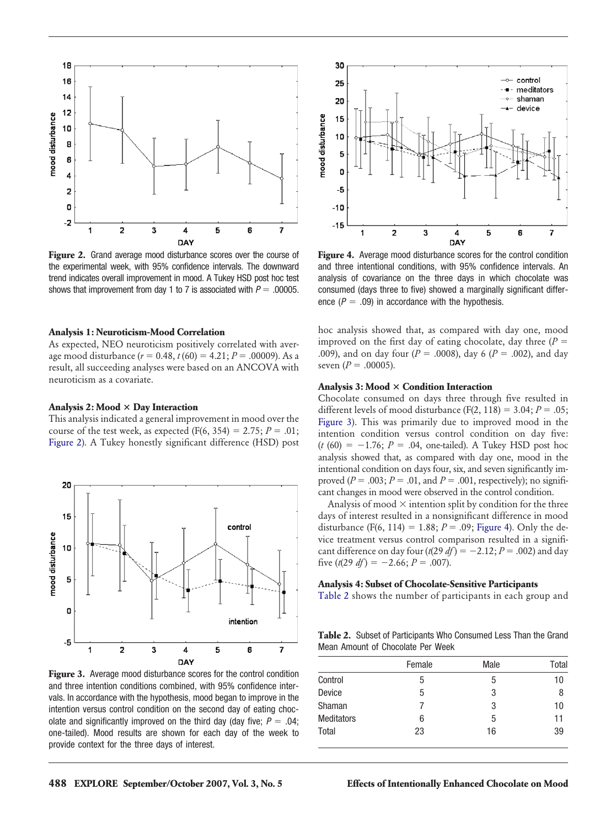

**Figure 2.** Grand average mood disturbance scores over the course of the experimental week, with 95% confidence intervals. The downward trend indicates overall improvement in mood. A Tukey HSD post hoc test shows that improvement from day 1 to 7 is associated with  $P = 0.00005$ .

#### **Analysis 1: Neuroticism-Mood Correlation**

As expected, NEO neuroticism positively correlated with average mood disturbance  $(r = 0.48, t(60) = 4.21; P = .00009)$ . As a result, all succeeding analyses were based on an ANCOVA with neuroticism as a covariate.

#### **Analysis 2: Mood Day Interaction**

This analysis indicated a general improvement in mood over the course of the test week, as expected (F(6, 354) = 2.75;  $P = .01$ ; Figure 2). A Tukey honestly significant difference (HSD) post



Figure 3. Average mood disturbance scores for the control condition and three intention conditions combined, with 95% confidence intervals. In accordance with the hypothesis, mood began to improve in the intention versus control condition on the second day of eating chocolate and significantly improved on the third day (day five;  $P = .04$ ; one-tailed). Mood results are shown for each day of the week to provide context for the three days of interest.



**Figure 4.** Average mood disturbance scores for the control condition and three intentional conditions, with 95% confidence intervals. An analysis of covariance on the three days in which chocolate was consumed (days three to five) showed a marginally significant difference  $(P = .09)$  in accordance with the hypothesis.

hoc analysis showed that, as compared with day one, mood improved on the first day of eating chocolate, day three  $(P =$ .009), and on day four ( $P = .0008$ ), day 6 ( $P = .002$ ), and day seven  $(P = .00005)$ .

## **Analysis 3: Mood Condition Interaction**

Chocolate consumed on days three through five resulted in different levels of mood disturbance (F(2, 118) = 3.04;  $P = .05$ ; Figure 3). This was primarily due to improved mood in the intention condition versus control condition on day five:  $(t (60) = -1.76; P = .04$ , one-tailed). A Tukey HSD post hoc analysis showed that, as compared with day one, mood in the intentional condition on days four, six, and seven significantly improved ( $P = .003$ ;  $P = .01$ , and  $P = .001$ , respectively); no significant changes in mood were observed in the control condition.

Analysis of mood  $\times$  intention split by condition for the three days of interest resulted in a nonsignificant difference in mood disturbance (F(6, 114) = 1.88;  $P = .09$ ; Figure 4). Only the device treatment versus control comparison resulted in a significant difference on day four  $(t(29 df) = -2.12; P = .002)$  and day five  $(t(29 \text{ df}) = -2.66; P = .007)$ .

#### **Analysis 4: Subset of Chocolate-Sensitive Participants**

Table 2 shows the number of participants in each group and

**Table 2.** Subset of Participants Who Consumed Less Than the Grand Mean Amount of Chocolate Per Week

|                   | Female | Male | Total |  |
|-------------------|--------|------|-------|--|
| Control           | 5      | 5    | 10    |  |
| Device            | 5      | 3    | 8     |  |
| Shaman            |        | 3    | 10    |  |
| <b>Meditators</b> | 6      | 5    | 11    |  |
| Total             | 23     | 16   | 39    |  |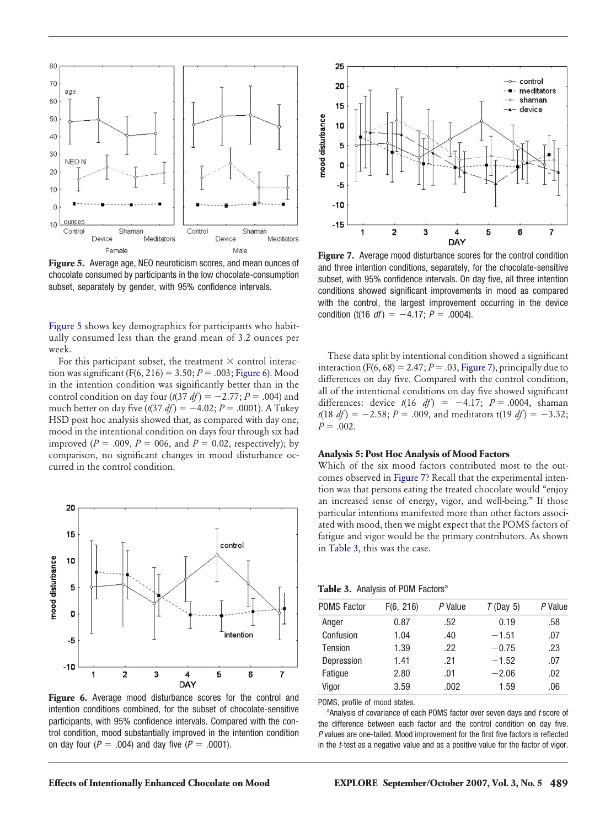<span id="page-4-0"></span>

**Figure 5.** Average age, NEO neuroticism scores, and mean ounces of chocolate consumed by participants in the low chocolate-consumption subset, separately by gender, with 95% confidence intervals.

Figure 5 shows key demographics for participants who habitually consumed less than the grand mean of 3.2 ounces per week.

For this participant subset, the treatment  $\times$  control interaction was significant (F(6, 216) = 3.50;  $P = .003$ ; Figure 6). Mood in the intention condition was significantly better than in the control condition on day four  $(t(37 \text{ df}) = -2.77; P = .004)$  and much better on day five  $(t(37 \text{ df}) = -4.02; P = .0001)$ . A Tukey HSD post hoc analysis showed that, as compared with day one, mood in the intentional condition on days four through six had improved ( $P = .009$ ,  $P = 006$ , and  $P = 0.02$ , respectively); by comparison, no significant changes in mood disturbance occurred in the control condition.



**Figure 6.** Average mood disturbance scores for the control and intention conditions combined, for the subset of chocolate-sensitive participants, with 95% confidence intervals. Compared with the control condition, mood substantially improved in the intention condition on day four  $(P = .004)$  and day five  $(P = .0001)$ .



**Figure 7.** Average mood disturbance scores for the control condition and three intention conditions, separately, for the chocolate-sensitive subset, with 95% confidence intervals. On day five, all three intention conditions showed significant improvements in mood as compared with the control, the largest improvement occurring in the device condition (t(16  $df$ ) = -4.17; *P* = .0004).

These data split by intentional condition showed a significant interaction (F(6, 68) = 2.47;  $P = .03$ , Figure 7), principally due to differences on day five. Compared with the control condition, all of the intentional conditions on day five showed significant differences: device  $t(16 \text{ df}) = -4.17$ ;  $P = .0004$ , shaman  $t(18 df) = -2.58$ ; *P* = .009, and meditators t(19 *df*) = -3.32;  $P = .002$ .

#### **Analysis 5: Post Hoc Analysis of Mood Factors**

Which of the six mood factors contributed most to the outcomes observed in Figure 7? Recall that the experimental intention was that persons eating the treated chocolate would "enjoy an increased sense of energy, vigor, and well-being." If those particular intentions manifested more than other factors associated with mood, then we might expect that the POMS factors of fatigue and vigor would be the primary contributors. As shown in Table 3, this was the case.

Table 3. Analysis of POM Factors<sup>a</sup>

| F(6, 216) | P Value | $T$ (Day 5) | P Value |
|-----------|---------|-------------|---------|
| 0.87      | .52     | 0.19        | .58     |
| 1.04      | .40     | $-1.51$     | .07     |
| 1.39      | .22     | $-0.75$     | .23     |
| 1.41      | .21     | $-1.52$     | .07     |
| 2.80      | .01     | $-2.06$     | .02     |
| 3.59      | .002    | 1.59        | .06     |
|           |         |             |         |

POMS, profile of mood states.

a Analysis of covariance of each POMS factor over seven days and *t* score of the difference between each factor and the control condition on day five. *P* values are one-tailed. Mood improvement for the first five factors is reflected in the *t*-test as a negative value and as a positive value for the factor of vigor.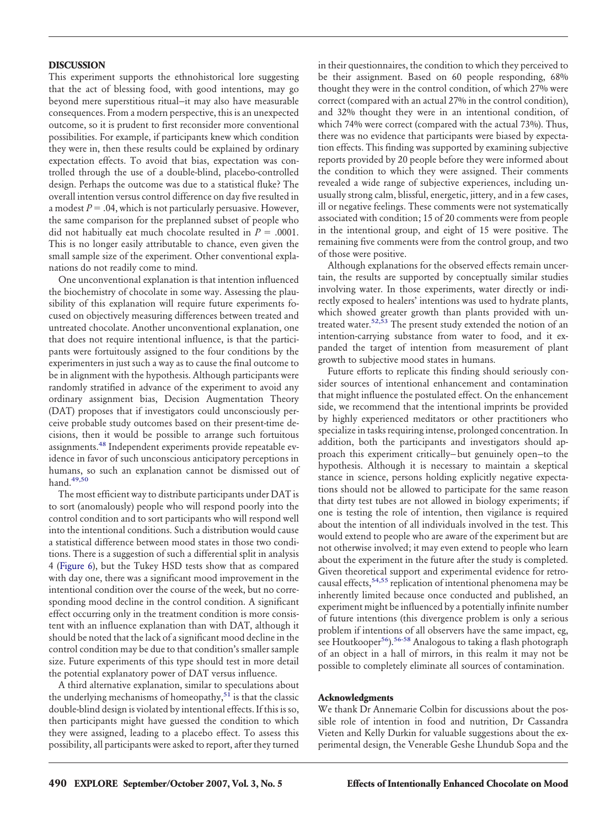## **DISCUSSION**

This experiment supports the ethnohistorical lore suggesting that the act of blessing food, with good intentions, may go beyond mere superstitious ritual—it may also have measurable consequences. From a modern perspective, this is an unexpected outcome, so it is prudent to first reconsider more conventional possibilities. For example, if participants knew which condition they were in, then these results could be explained by ordinary expectation effects. To avoid that bias, expectation was controlled through the use of a double-blind, placebo-controlled design. Perhaps the outcome was due to a statistical fluke? The overall intention versus control difference on day five resulted in a modest  $P = .04$ , which is not particularly persuasive. However, the same comparison for the preplanned subset of people who did not habitually eat much chocolate resulted in  $P = .0001$ . This is no longer easily attributable to chance, even given the small sample size of the experiment. Other conventional explanations do not readily come to mind.

One unconventional explanation is that intention influenced the biochemistry of chocolate in some way. Assessing the plausibility of this explanation will require future experiments focused on objectively measuring differences between treated and untreated chocolate. Another unconventional explanation, one that does not require intentional influence, is that the participants were fortuitously assigned to the four conditions by the experimenters in just such a way as to cause the final outcome to be in alignment with the hypothesis. Although participants were randomly stratified in advance of the experiment to avoid any ordinary assignment bias, Decision Augmentation Theory (DAT) proposes that if investigators could unconsciously perceive probable study outcomes based on their present-time decisions, then it would be possible to arrange such fortuitous assignments.<sup>48</sup> Independent experiments provide repeatable evidence in favor of such unconscious anticipatory perceptions in humans, so such an explanation cannot be dismissed out of hand[.49,50](#page-7-0)

The most efficient way to distribute participants under DAT is to sort (anomalously) people who will respond poorly into the control condition and to sort participants who will respond well into the intentional conditions. Such a distribution would cause a statistical difference between mood states in those two conditions. There is a suggestion of such a differential split in analysis 4 [\(Figure](#page-4-0) 6), but the Tukey HSD tests show that as compared with day one, there was a significant mood improvement in the intentional condition over the course of the week, but no corresponding mood decline in the control condition. A significant effect occurring only in the treatment condition is more consistent with an influence explanation than with DAT, although it should be noted that the lack of a significant mood decline in the control condition may be due to that condition's smaller sample size. Future experiments of this type should test in more detail the potential explanatory power of DAT versus influence.

A third alternative explanation, similar to speculations about the underlying mechanisms of homeopathy, $51$  is that the classic double-blind design is violated by intentional effects. If this is so, then participants might have guessed the condition to which they were assigned, leading to a placebo effect. To assess this possibility, all participants were asked to report, after they turned

in their questionnaires, the condition to which they perceived to be their assignment. Based on 60 people responding, 68% thought they were in the control condition, of which 27% were correct (compared with an actual 27% in the control condition), and 32% thought they were in an intentional condition, of which 74% were correct (compared with the actual 73%). Thus, there was no evidence that participants were biased by expectation effects. This finding was supported by examining subjective reports provided by 20 people before they were informed about the condition to which they were assigned. Their comments revealed a wide range of subjective experiences, including unusually strong calm, blissful, energetic, jittery, and in a few cases, ill or negative feelings. These comments were not systematically associated with condition; 15 of 20 comments were from people in the intentional group, and eight of 15 were positive. The remaining five comments were from the control group, and two of those were positive.

Although explanations for the observed effects remain uncertain, the results are supported by conceptually similar studies involving water. In those experiments, water directly or indirectly exposed to healers' intentions was used to hydrate plants, which showed greater growth than plants provided with untreated water.<sup>52,53</sup> The present study extended the notion of an intention-carrying substance from water to food, and it expanded the target of intention from measurement of plant growth to subjective mood states in humans.

Future efforts to replicate this finding should seriously consider sources of intentional enhancement and contamination that might influence the postulated effect. On the enhancement side, we recommend that the intentional imprints be provided by highly experienced meditators or other practitioners who specialize in tasks requiring intense, prolonged concentration. In addition, both the participants and investigators should approach this experiment critically— but genuinely open—to the hypothesis. Although it is necessary to maintain a skeptical stance in science, persons holding explicitly negative expectations should not be allowed to participate for the same reason that dirty test tubes are not allowed in biology experiments; if one is testing the role of intention, then vigilance is required about the intention of all individuals involved in the test. This would extend to people who are aware of the experiment but are not otherwise involved; it may even extend to people who learn about the experiment in the future after the study is completed. Given theoretical support and experimental evidence for retrocausal effects,<sup>54,55</sup> replication of intentional phenomena may be inherently limited because once conducted and published, an experiment might be influenced by a potentially infinite number of future intentions (this divergence problem is only a serious problem if intentions of all observers have the same impact, eg, see Houtkooper<sup>56</sup>).<sup>[56-58](#page-7-0)</sup> Analogous to taking a flash photograph of an object in a hall of mirrors, in this realm it may not be possible to completely eliminate all sources of contamination.

#### **Acknowledgments**

We thank Dr Annemarie Colbin for discussions about the possible role of intention in food and nutrition, Dr Cassandra Vieten and Kelly Durkin for valuable suggestions about the experimental design, the Venerable Geshe Lhundub Sopa and the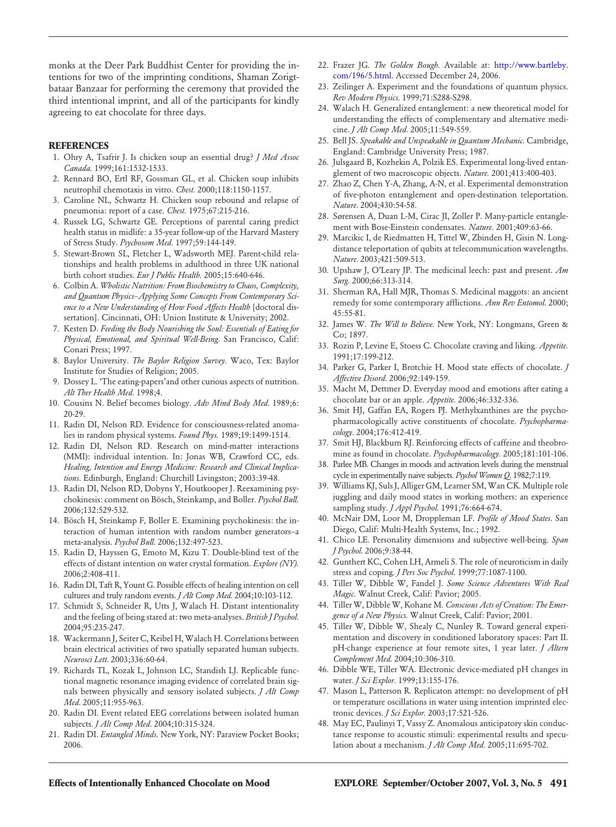<span id="page-6-0"></span>monks at the Deer Park Buddhist Center for providing the intentions for two of the imprinting conditions, Shaman Zorigtbataar Banzaar for performing the ceremony that provided the third intentional imprint, and all of the participants for kindly agreeing to eat chocolate for three days.

### **REFERENCES**

- 1. Ohry A, Tsafrir J. Is chicken soup an essential drug? *J Med Assoc Canada.* 1999;161:1532-1533.
- 2. Rennard BO, Ertl RF, Gossman GL, et al. Chicken soup inhibits neutrophil chemotaxis in vitro. *Chest.* 2000;118:1150-1157.
- 3. Caroline NL, Schwartz H. Chicken soup rebound and relapse of pneumonia: report of a case. *Chest.* 1975;67:215-216.
- 4. Russek LG, Schwartz GE. Perceptions of parental caring predict health status in midlife: a 35-year follow-up of the Harvard Mastery of Stress Study. *Psychosom Med.* 1997;59:144-149.
- 5. Stewart-Brown SL, Fletcher L, Wadsworth MEJ. Parent-child relationships and health problems in adulthood in three UK national birth cohort studies. *Eur J Public Health.* 2005;15:640-646.
- 6. Colbin A. *Wholistic Nutrition: From Biochemistry to Chaos, Complexity, and Quantum Physics–Applying Some Concepts From Contemporary Science to a New Understanding of How Food Affects Health* [doctoral dissertation]. Cincinnati, OH: Union Institute & University; 2002.
- 7. Kesten D. *Feeding the Body Nourishing the Soul: Essentials of Eating for Physical, Emotional, and Spiritual Well-Being.* San Francisco, Calif: Conari Press; 1997.
- 8. Baylor University. *The Baylor Religion Survey.* Waco, Tex: Baylor Institute for Studies of Religion; 2005.
- 9. Dossey L. 'The eating-papers'and other curious aspects of nutrition. *Alt Ther Health Med.* 1998;4.
- 10. Cousins N. Belief becomes biology. *Adv Mind Body Med.* 1989;6: 20-29.
- 11. Radin DI, Nelson RD. Evidence for consciousness-related anomalies in random physical systems. *Found Phys.* 1989;19:1499-1514.
- 12. Radin DI, Nelson RD. Research on mind-matter interactions (MMI): individual intention. In: Jonas WB, Crawford CC, eds. *Healing, Intention and Energy Medicine: Research and Clinical Implications*. Edinburgh, England: Churchill Livingston; 2003:39-48.
- 13. Radin DI, Nelson RD, Dobyns Y, Houtkooper J. Reexamining psychokinesis: comment on Bösch, Steinkamp, and Boller. *Psychol Bull.* 2006;132:529-532.
- 14. Bösch H, Steinkamp F, Boller E. Examining psychokinesis: the interaction of human intention with random number generators–a meta-analysis. *Psychol Bull.* 2006;132:497-523.
- 15. Radin D, Hayssen G, Emoto M, Kizu T. Double-blind test of the effects of distant intention on water crystal formation. *Explore (NY).* 2006;2:408-411.
- 16. Radin DI, Taft R, Yount G. Possible effects of healing intention on cell cultures and truly random events. *J Alt Comp Med.* 2004;10:103-112.
- 17. Schmidt S, Schneider R, Utts J, Walach H. Distant intentionality and the feeling of being stared at: two meta-analyses. *British J Psychol.* 2004;95:235-247.
- 18. Wackermann J, Seiter C, Keibel H, Walach H. Correlations between brain electrical activities of two spatially separated human subjects. *Neurosci Lett.* 2003;336:60-64.
- 19. Richards TL, Kozak L, Johnson LC, Standish LJ. Replicable functional magnetic resonance imaging evidence of correlated brain signals between physically and sensory isolated subjects. *J Alt Comp Med.* 2005;11:955-963.
- 20. Radin DI. Event related EEG correlations between isolated human subjects. *J Alt Comp Med.* 2004;10:315-324.
- 21. Radin DI. *Entangled Minds.* New York, NY: Paraview Pocket Books; 2006.
- 22. Frazer JG. *The Golden Bough.* Available at: [http://www.bartleby.](http://www.bartleby.com/196/5.html) [com/196/5.html.](http://www.bartleby.com/196/5.html) Accessed December 24, 2006.
- 23. Zeilinger A. Experiment and the foundations of quantum physics. *Rev Modern Physics.* 1999;71:S288-S298.
- 24. Walach H. Generalized entanglement: a new theoretical model for understanding the effects of complementary and alternative medicine. *J Alt Comp Med.* 2005;11:549-559.
- 25. Bell JS. *Speakable and Unspeakable in Quantum Mechanic.* Cambridge, England: Cambridge University Press; 1987.
- 26. Julsgaard B, Kozhekin A, Polzik ES. Experimental long-lived entanglement of two macroscopic objects. *Nature.* 2001;413:400-403.
- 27. Zhao Z, Chen Y-A, Zhang, A-N, et al. Experimental demonstration of five-photon entanglement and open-destination teleportation. *Nature.* 2004;430:54-58.
- 28. Sørensen A, Duan L-M, Cirac JI, Zoller P. Many-particle entanglement with Bose-Einstein condensates. *Nature.* 2001;409:63-66.
- 29. Marcikic I, de Riedmatten H, Tittel W, Zbinden H, Gisin N. Longdistance teleportation of qubits at telecommunication wavelengths. *Nature.* 2003;421:509-513.
- 30. Upshaw J, O'Leary JP. The medicinal leech: past and present. *Am Surg.* 2000;66:313-314.
- 31. Sherman RA, Hall MJR, Thomas S. Medicinal maggots: an ancient remedy for some contemporary afflictions. *Ann Rev Entomol.* 2000; 45:55-81.
- 32. James W. *The Will to Believe.* New York, NY: Longmans, Green & Co; 1897.
- 33. Rozin P, Levine E, Stoess C. Chocolate craving and liking. *Appetite.* 1991;17:199-212.
- 34. Parker G, Parker I, Brotchie H. Mood state effects of chocolate. *J Affective Disord.* 2006;92:149-159.
- 35. Macht M, Dettmer D. Everyday mood and emotions after eating a chocolate bar or an apple. *Appetite.* 2006;46:332-336.
- 36. Smit HJ, Gaffan EA, Rogers PJ. Methylxanthines are the psychopharmacologically active constituents of chocolate. *Psychopharmacology.* 2004;176:412-419.
- 37. Smit HJ, Blackburn RJ. Reinforcing effects of caffeine and theobromine as found in chocolate. *Psychopharmacology.* 2005;181:101-106.
- 38. Parlee MB. Changes in moods and activation levels during the menstrual cycle in experimentally naive subjects. *Psychol Women Q.* 1982;7:119.
- 39. Williams KJ, Suls J, Alliger GM, Learner SM, Wan CK. Multiple role juggling and daily mood states in working mothers: an experience sampling study. *J Appl Psychol.* 1991;76:664-674.
- 40. McNair DM, Loor M, Droppleman LF. *Profile of Mood States.* San Diego, Calif: Multi-Health Systems, Inc.; 1992.
- 41. Chico LE. Personality dimensions and subjective well-being. *Span J Psychol.* 2006;9:38-44.
- 42. Gunthert KC, Cohen LH, Armeli S. The role of neuroticism in daily stress and coping. *J Pers Soc Psychol.* 1999;77:1087-1100.
- 43. Tiller W, Dibble W, Fandel J. *Some Science Adventures With Real Magic.* Walnut Creek, Calif: Pavior; 2005.
- 44. Tiller W, Dibble W, Kohane M. *Conscious Acts of Creation: The Emergence of a New Physics.* Walnut Creek, Calif: Pavior; 2001.
- 45. Tiller W, Dibble W, Shealy C, Nunley R. Toward general experimentation and discovery in conditioned laboratory spaces: Part II. pH-change experience at four remote sites, 1 year later. *J Altern Complement Med.* 2004;10:306-310.
- 46. Dibble WE, Tiller WA. Electronic device-mediated pH changes in water. *J Sci Explor.* 1999;13:155-176.
- 47. Mason L, Patterson R. Replicaton attempt: no development of pH or temperature oscillations in water using intention imprinted electronic devices. *J Sci Explor.* 2003;17:521-526.
- 48. May EC, Paulinyi T, Vassy Z. Anomalous anticipatory skin conductance response to acoustic stimuli: experimental results and speculation about a mechanism. *J Alt Comp Med.* 2005;11:695-702.